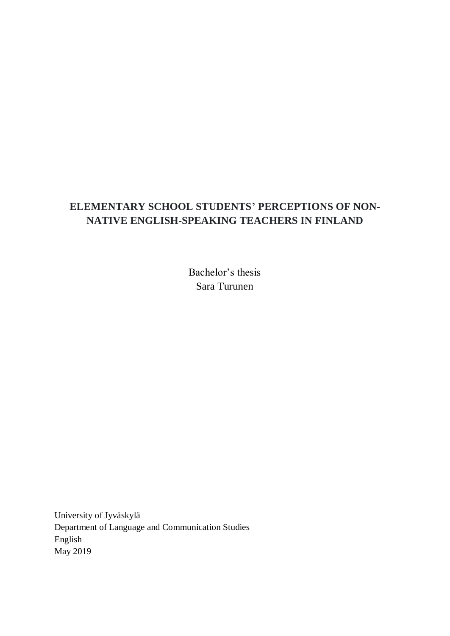# **ELEMENTARY SCHOOL STUDENTS' PERCEPTIONS OF NON-NATIVE ENGLISH-SPEAKING TEACHERS IN FINLAND**

Bachelor's thesis Sara Turunen

University of Jyväskylä Department of Language and Communication Studies English May 2019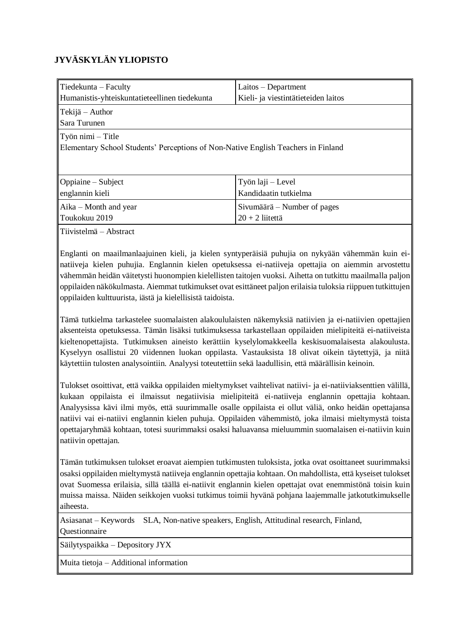# **JYVÄSKYLÄN YLIOPISTO**

| $\vert$ Tiedekunta – Faculty                                                                                | $Laitos - Department$               |  |  |  |
|-------------------------------------------------------------------------------------------------------------|-------------------------------------|--|--|--|
| Humanistis-yhteiskuntatieteellinen tiedekunta                                                               | Kieli- ja viestintätieteiden laitos |  |  |  |
| $\ $ Tekijä – Author<br>l Sara Turunen                                                                      |                                     |  |  |  |
| $\ $ Työn nimi – Title<br>Elementary School Students' Perceptions of Non-Native English Teachers in Finland |                                     |  |  |  |
| $\Diamond$ Oppiaine – Subject                                                                               | Työn laji – Level                   |  |  |  |
| englannin kieli                                                                                             | Kandidaatin tutkielma               |  |  |  |
| $Aika - Month$ and year                                                                                     | Sivumäärä – Number of pages         |  |  |  |
| Toukokuu 2019                                                                                               | $20 + 2$ liitettä                   |  |  |  |
| $\ $ Tiivistelmä – Abstract                                                                                 |                                     |  |  |  |

Englanti on maailmanlaajuinen kieli, ja kielen syntyperäisiä puhujia on nykyään vähemmän kuin einatiiveja kielen puhujia. Englannin kielen opetuksessa ei-natiiveja opettajia on aiemmin arvostettu vähemmän heidän väitetysti huonompien kielellisten taitojen vuoksi. Aihetta on tutkittu maailmalla paljon oppilaiden näkökulmasta. Aiemmat tutkimukset ovat esittäneet paljon erilaisia tuloksia riippuen tutkittujen oppilaiden kulttuurista, iästä ja kielellisistä taidoista.

Tämä tutkielma tarkastelee suomalaisten alakoululaisten näkemyksiä natiivien ja ei-natiivien opettajien aksenteista opetuksessa. Tämän lisäksi tutkimuksessa tarkastellaan oppilaiden mielipiteitä ei-natiiveista kieltenopettajista. Tutkimuksen aineisto kerättiin kyselylomakkeella keskisuomalaisesta alakoulusta. Kyselyyn osallistui 20 viidennen luokan oppilasta. Vastauksista 18 olivat oikein täytettyjä, ja niitä käytettiin tulosten analysointiin. Analyysi toteutettiin sekä laadullisin, että määrällisin keinoin.

Tulokset osoittivat, että vaikka oppilaiden mieltymykset vaihtelivat natiivi- ja ei-natiiviaksenttien välillä, kukaan oppilaista ei ilmaissut negatiivisia mielipiteitä ei-natiiveja englannin opettajia kohtaan. Analyysissa kävi ilmi myös, että suurimmalle osalle oppilaista ei ollut väliä, onko heidän opettajansa natiivi vai ei-natiivi englannin kielen puhuja. Oppilaiden vähemmistö, joka ilmaisi mieltymystä toista opettajaryhmää kohtaan, totesi suurimmaksi osaksi haluavansa mieluummin suomalaisen ei-natiivin kuin natiivin opettajan.

Tämän tutkimuksen tulokset eroavat aiempien tutkimusten tuloksista, jotka ovat osoittaneet suurimmaksi osaksi oppilaiden mieltymystä natiiveja englannin opettajia kohtaan. On mahdollista, että kyseiset tulokset ovat Suomessa erilaisia, sillä täällä ei-natiivit englannin kielen opettajat ovat enemmistönä toisin kuin muissa maissa. Näiden seikkojen vuoksi tutkimus toimii hyvänä pohjana laajemmalle jatkotutkimukselle aiheesta.

Asiasanat – Keywords SLA, Non-native speakers, English, Attitudinal research, Finland, Questionnaire

Säilytyspaikka – Depository JYX

Muita tietoja – Additional information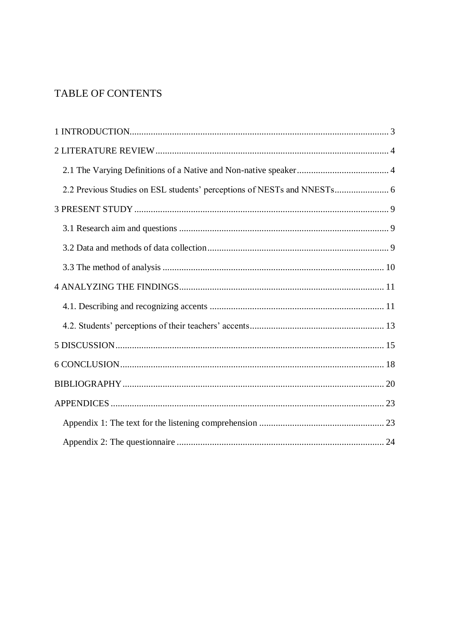# TABLE OF CONTENTS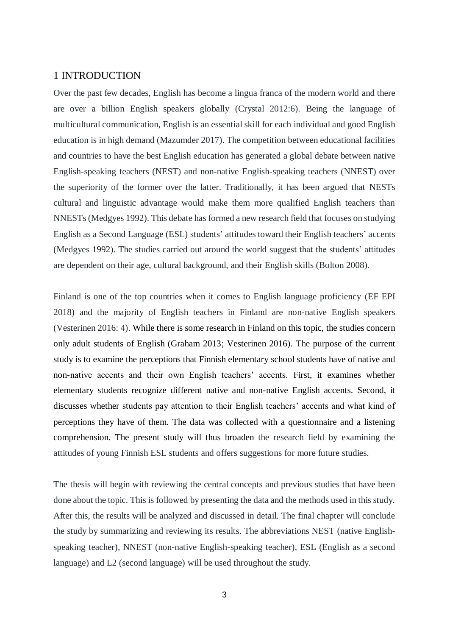## <span id="page-3-0"></span>1 INTRODUCTION

Over the past few decades, English has become a lingua franca of the modern world and there are over a billion English speakers globally (Crystal 2012:6). Being the language of multicultural communication, English is an essential skill for each individual and good English education is in high demand (Mazumder 2017). The competition between educational facilities and countries to have the best English education has generated a global debate between native English-speaking teachers (NEST) and non-native English-speaking teachers (NNEST) over the superiority of the former over the latter. Traditionally, it has been argued that NESTs cultural and linguistic advantage would make them more qualified English teachers than NNESTs (Medgyes 1992). This debate has formed a new research field that focuses on studying English as a Second Language (ESL) students' attitudes toward their English teachers' accents (Medgyes 1992). The studies carried out around the world suggest that the students' attitudes are dependent on their age, cultural background, and their English skills (Bolton 2008).

Finland is one of the top countries when it comes to English language proficiency (EF EPI 2018) and the majority of English teachers in Finland are non-native English speakers (Vesterinen 2016: 4). While there is some research in Finland on this topic, the studies concern only adult students of English (Graham 2013; Vesterinen 2016). The purpose of the current study is to examine the perceptions that Finnish elementary school students have of native and non-native accents and their own English teachers' accents. First, it examines whether elementary students recognize different native and non-native English accents. Second, it discusses whether students pay attention to their English teachers' accents and what kind of perceptions they have of them. The data was collected with a questionnaire and a listening comprehension. The present study will thus broaden the research field by examining the attitudes of young Finnish ESL students and offers suggestions for more future studies.

The thesis will begin with reviewing the central concepts and previous studies that have been done about the topic. This is followed by presenting the data and the methods used in this study. After this, the results will be analyzed and discussed in detail. The final chapter will conclude the study by summarizing and reviewing its results. The abbreviations NEST (native Englishspeaking teacher), NNEST (non-native English-speaking teacher), ESL (English as a second language) and L2 (second language) will be used throughout the study.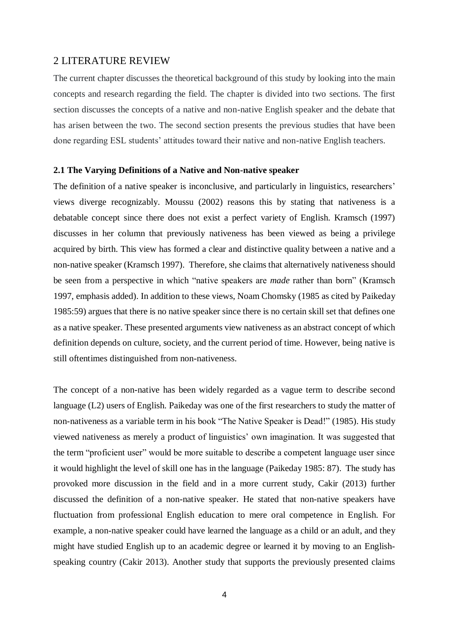## <span id="page-4-0"></span>2 LITERATURE REVIEW

The current chapter discusses the theoretical background of this study by looking into the main concepts and research regarding the field. The chapter is divided into two sections. The first section discusses the concepts of a native and non-native English speaker and the debate that has arisen between the two. The second section presents the previous studies that have been done regarding ESL students' attitudes toward their native and non-native English teachers.

#### <span id="page-4-1"></span>**2.1 The Varying Definitions of a Native and Non-native speaker**

The definition of a native speaker is inconclusive, and particularly in linguistics, researchers' views diverge recognizably. Moussu (2002) reasons this by stating that nativeness is a debatable concept since there does not exist a perfect variety of English. Kramsch (1997) discusses in her column that previously nativeness has been viewed as being a privilege acquired by birth. This view has formed a clear and distinctive quality between a native and a non-native speaker (Kramsch 1997). Therefore, she claims that alternatively nativeness should be seen from a perspective in which "native speakers are *made* rather than born" (Kramsch 1997, emphasis added). In addition to these views, Noam Chomsky (1985 as cited by Paikeday 1985:59) argues that there is no native speaker since there is no certain skill set that defines one as a native speaker. These presented arguments view nativeness as an abstract concept of which definition depends on culture, society, and the current period of time. However, being native is still oftentimes distinguished from non-nativeness.

The concept of a non-native has been widely regarded as a vague term to describe second language (L2) users of English. Paikeday was one of the first researchers to study the matter of non-nativeness as a variable term in his book "The Native Speaker is Dead!" (1985). His study viewed nativeness as merely a product of linguistics' own imagination. It was suggested that the term "proficient user" would be more suitable to describe a competent language user since it would highlight the level of skill one has in the language (Paikeday 1985: 87). The study has provoked more discussion in the field and in a more current study, Cakir (2013) further discussed the definition of a non-native speaker. He stated that non-native speakers have fluctuation from professional English education to mere oral competence in English. For example, a non-native speaker could have learned the language as a child or an adult, and they might have studied English up to an academic degree or learned it by moving to an Englishspeaking country (Cakir 2013). Another study that supports the previously presented claims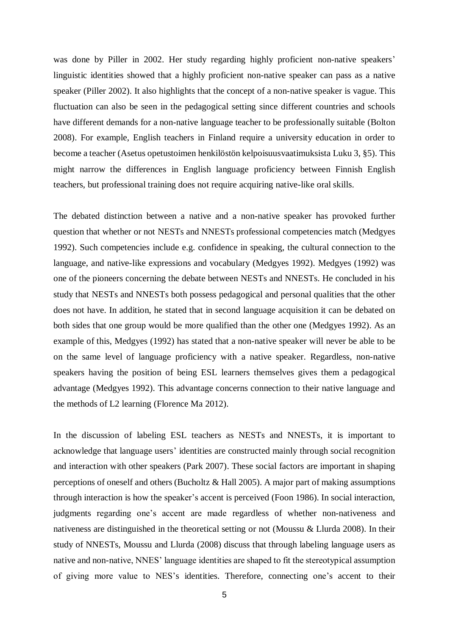was done by Piller in 2002. Her study regarding highly proficient non-native speakers' linguistic identities showed that a highly proficient non-native speaker can pass as a native speaker (Piller 2002). It also highlights that the concept of a non-native speaker is vague. This fluctuation can also be seen in the pedagogical setting since different countries and schools have different demands for a non-native language teacher to be professionally suitable (Bolton 2008). For example, English teachers in Finland require a university education in order to become a teacher (Asetus opetustoimen henkilöstön kelpoisuusvaatimuksista Luku 3, §5). This might narrow the differences in English language proficiency between Finnish English teachers, but professional training does not require acquiring native-like oral skills.

The debated distinction between a native and a non-native speaker has provoked further question that whether or not NESTs and NNESTs professional competencies match (Medgyes 1992). Such competencies include e.g. confidence in speaking, the cultural connection to the language, and native-like expressions and vocabulary (Medgyes 1992). Medgyes (1992) was one of the pioneers concerning the debate between NESTs and NNESTs. He concluded in his study that NESTs and NNESTs both possess pedagogical and personal qualities that the other does not have. In addition, he stated that in second language acquisition it can be debated on both sides that one group would be more qualified than the other one (Medgyes 1992). As an example of this, Medgyes (1992) has stated that a non-native speaker will never be able to be on the same level of language proficiency with a native speaker. Regardless, non-native speakers having the position of being ESL learners themselves gives them a pedagogical advantage (Medgyes 1992). This advantage concerns connection to their native language and the methods of L2 learning (Florence Ma 2012).

In the discussion of labeling ESL teachers as NESTs and NNESTs, it is important to acknowledge that language users' identities are constructed mainly through social recognition and interaction with other speakers (Park 2007). These social factors are important in shaping perceptions of oneself and others (Bucholtz & Hall 2005). A major part of making assumptions through interaction is how the speaker's accent is perceived (Foon 1986). In social interaction, judgments regarding one's accent are made regardless of whether non-nativeness and nativeness are distinguished in the theoretical setting or not (Moussu & Llurda 2008). In their study of NNESTs, Moussu and Llurda (2008) discuss that through labeling language users as native and non-native, NNES' language identities are shaped to fit the stereotypical assumption of giving more value to NES's identities. Therefore, connecting one's accent to their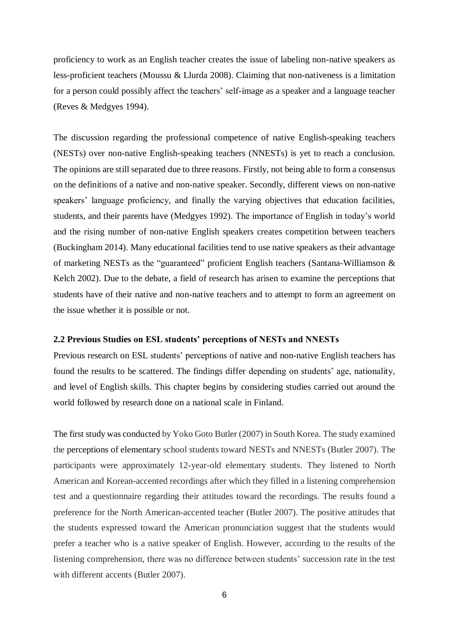proficiency to work as an English teacher creates the issue of labeling non-native speakers as less-proficient teachers (Moussu & Llurda 2008). Claiming that non-nativeness is a limitation for a person could possibly affect the teachers' self-image as a speaker and a language teacher (Reves & Medgyes 1994).

The discussion regarding the professional competence of native English-speaking teachers (NESTs) over non-native English-speaking teachers (NNESTs) is yet to reach a conclusion. The opinions are still separated due to three reasons. Firstly, not being able to form a consensus on the definitions of a native and non-native speaker. Secondly, different views on non-native speakers' language proficiency, and finally the varying objectives that education facilities, students, and their parents have (Medgyes 1992). The importance of English in today's world and the rising number of non-native English speakers creates competition between teachers (Buckingham 2014). Many educational facilities tend to use native speakers as their advantage of marketing NESTs as the "guaranteed" proficient English teachers (Santana-Williamson & Kelch 2002). Due to the debate, a field of research has arisen to examine the perceptions that students have of their native and non-native teachers and to attempt to form an agreement on the issue whether it is possible or not.

### <span id="page-6-0"></span>**2.2 Previous Studies on ESL students' perceptions of NESTs and NNESTs**

Previous research on ESL students' perceptions of native and non-native English teachers has found the results to be scattered. The findings differ depending on students' age, nationality, and level of English skills. This chapter begins by considering studies carried out around the world followed by research done on a national scale in Finland.

The first study was conducted by Yoko Goto Butler (2007) in South Korea. The study examined the perceptions of elementary school students toward NESTs and NNESTs (Butler 2007). The participants were approximately 12-year-old elementary students. They listened to North American and Korean-accented recordings after which they filled in a listening comprehension test and a questionnaire regarding their attitudes toward the recordings. The results found a preference for the North American-accented teacher (Butler 2007). The positive attitudes that the students expressed toward the American pronunciation suggest that the students would prefer a teacher who is a native speaker of English. However, according to the results of the listening comprehension, there was no difference between students' succession rate in the test with different accents (Butler 2007).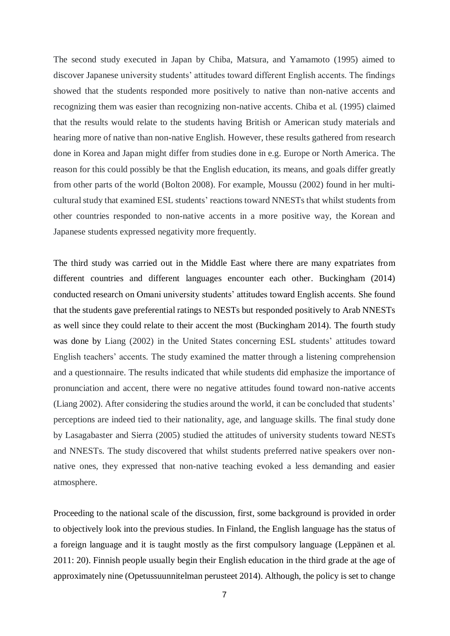The second study executed in Japan by Chiba, Matsura, and Yamamoto (1995) aimed to discover Japanese university students' attitudes toward different English accents. The findings showed that the students responded more positively to native than non-native accents and recognizing them was easier than recognizing non-native accents. Chiba et al. (1995) claimed that the results would relate to the students having British or American study materials and hearing more of native than non-native English. However, these results gathered from research done in Korea and Japan might differ from studies done in e.g. Europe or North America. The reason for this could possibly be that the English education, its means, and goals differ greatly from other parts of the world (Bolton 2008). For example, Moussu (2002) found in her multicultural study that examined ESL students' reactions toward NNESTs that whilst students from other countries responded to non-native accents in a more positive way, the Korean and Japanese students expressed negativity more frequently.

The third study was carried out in the Middle East where there are many expatriates from different countries and different languages encounter each other. Buckingham (2014) conducted research on Omani university students' attitudes toward English accents. She found that the students gave preferential ratings to NESTs but responded positively to Arab NNESTs as well since they could relate to their accent the most (Buckingham 2014). The fourth study was done by Liang (2002) in the United States concerning ESL students' attitudes toward English teachers' accents. The study examined the matter through a listening comprehension and a questionnaire. The results indicated that while students did emphasize the importance of pronunciation and accent, there were no negative attitudes found toward non-native accents (Liang 2002). After considering the studies around the world, it can be concluded that students' perceptions are indeed tied to their nationality, age, and language skills. The final study done by Lasagabaster and Sierra (2005) studied the attitudes of university students toward NESTs and NNESTs. The study discovered that whilst students preferred native speakers over nonnative ones, they expressed that non-native teaching evoked a less demanding and easier atmosphere.

Proceeding to the national scale of the discussion, first, some background is provided in order to objectively look into the previous studies. In Finland, the English language has the status of a foreign language and it is taught mostly as the first compulsory language (Leppänen et al. 2011: 20). Finnish people usually begin their English education in the third grade at the age of approximately nine (Opetussuunnitelman perusteet 2014). Although, the policy is set to change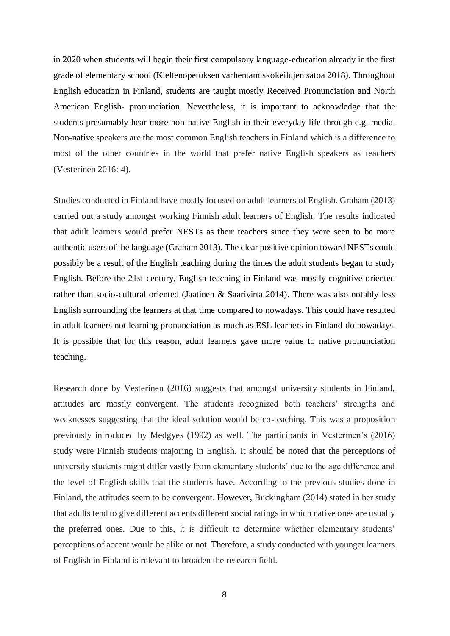in 2020 when students will begin their first compulsory language-education already in the first grade of elementary school (Kieltenopetuksen varhentamiskokeilujen satoa 2018). Throughout English education in Finland, students are taught mostly Received Pronunciation and North American English- pronunciation. Nevertheless, it is important to acknowledge that the students presumably hear more non-native English in their everyday life through e.g. media. Non-native speakers are the most common English teachers in Finland which is a difference to most of the other countries in the world that prefer native English speakers as teachers (Vesterinen 2016: 4).

Studies conducted in Finland have mostly focused on adult learners of English. Graham (2013) carried out a study amongst working Finnish adult learners of English. The results indicated that adult learners would prefer NESTs as their teachers since they were seen to be more authentic users of the language (Graham 2013). The clear positive opinion toward NESTs could possibly be a result of the English teaching during the times the adult students began to study English. Before the 21st century, English teaching in Finland was mostly cognitive oriented rather than socio-cultural oriented (Jaatinen & Saarivirta 2014). There was also notably less English surrounding the learners at that time compared to nowadays. This could have resulted in adult learners not learning pronunciation as much as ESL learners in Finland do nowadays. It is possible that for this reason, adult learners gave more value to native pronunciation teaching.

Research done by Vesterinen (2016) suggests that amongst university students in Finland, attitudes are mostly convergent. The students recognized both teachers' strengths and weaknesses suggesting that the ideal solution would be co-teaching. This was a proposition previously introduced by Medgyes (1992) as well. The participants in Vesterinen's (2016) study were Finnish students majoring in English. It should be noted that the perceptions of university students might differ vastly from elementary students' due to the age difference and the level of English skills that the students have. According to the previous studies done in Finland, the attitudes seem to be convergent. However, Buckingham (2014) stated in her study that adults tend to give different accents different social ratings in which native ones are usually the preferred ones. Due to this, it is difficult to determine whether elementary students' perceptions of accent would be alike or not. Therefore, a study conducted with younger learners of English in Finland is relevant to broaden the research field.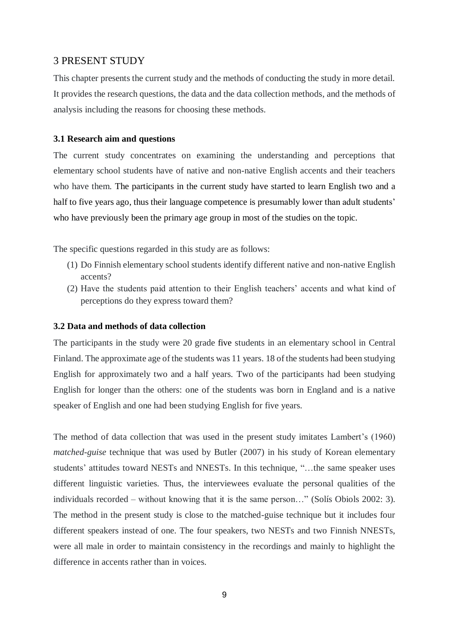## <span id="page-9-0"></span>3 PRESENT STUDY

This chapter presents the current study and the methods of conducting the study in more detail. It provides the research questions, the data and the data collection methods, and the methods of analysis including the reasons for choosing these methods.

## <span id="page-9-1"></span>**3.1 Research aim and questions**

The current study concentrates on examining the understanding and perceptions that elementary school students have of native and non-native English accents and their teachers who have them. The participants in the current study have started to learn English two and a half to five years ago, thus their language competence is presumably lower than adult students' who have previously been the primary age group in most of the studies on the topic.

The specific questions regarded in this study are as follows:

- (1) Do Finnish elementary school students identify different native and non-native English accents?
- (2) Have the students paid attention to their English teachers' accents and what kind of perceptions do they express toward them?

## <span id="page-9-2"></span>**3.2 Data and methods of data collection**

The participants in the study were 20 grade five students in an elementary school in Central Finland. The approximate age of the students was 11 years. 18 of the students had been studying English for approximately two and a half years. Two of the participants had been studying English for longer than the others: one of the students was born in England and is a native speaker of English and one had been studying English for five years.

The method of data collection that was used in the present study imitates Lambert's (1960) *matched-guise* technique that was used by Butler (2007) in his study of Korean elementary students' attitudes toward NESTs and NNESTs. In this technique, "…the same speaker uses different linguistic varieties. Thus, the interviewees evaluate the personal qualities of the individuals recorded – without knowing that it is the same person…" (Solís Obiols 2002: 3). The method in the present study is close to the matched-guise technique but it includes four different speakers instead of one. The four speakers, two NESTs and two Finnish NNESTs, were all male in order to maintain consistency in the recordings and mainly to highlight the difference in accents rather than in voices.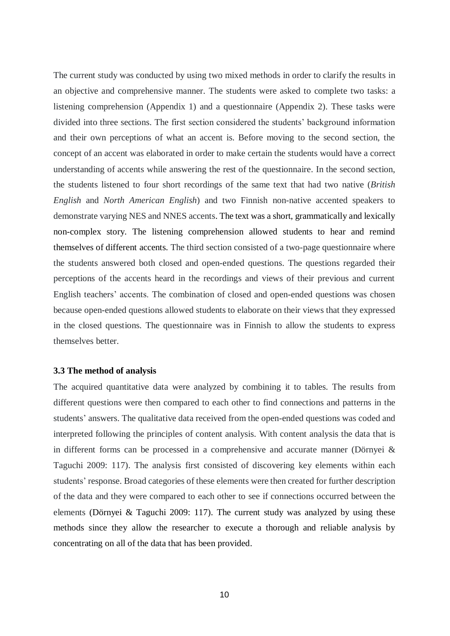The current study was conducted by using two mixed methods in order to clarify the results in an objective and comprehensive manner. The students were asked to complete two tasks: a listening comprehension (Appendix 1) and a questionnaire (Appendix 2). These tasks were divided into three sections. The first section considered the students' background information and their own perceptions of what an accent is. Before moving to the second section, the concept of an accent was elaborated in order to make certain the students would have a correct understanding of accents while answering the rest of the questionnaire. In the second section, the students listened to four short recordings of the same text that had two native (*British English* and *North American English*) and two Finnish non-native accented speakers to demonstrate varying NES and NNES accents. The text was a short, grammatically and lexically non-complex story. The listening comprehension allowed students to hear and remind themselves of different accents. The third section consisted of a two-page questionnaire where the students answered both closed and open-ended questions. The questions regarded their perceptions of the accents heard in the recordings and views of their previous and current English teachers' accents. The combination of closed and open-ended questions was chosen because open-ended questions allowed students to elaborate on their views that they expressed in the closed questions. The questionnaire was in Finnish to allow the students to express themselves better.

### <span id="page-10-0"></span>**3.3 The method of analysis**

The acquired quantitative data were analyzed by combining it to tables. The results from different questions were then compared to each other to find connections and patterns in the students' answers. The qualitative data received from the open-ended questions was coded and interpreted following the principles of content analysis. With content analysis the data that is in different forms can be processed in a comprehensive and accurate manner (Dörnyei & Taguchi 2009: 117). The analysis first consisted of discovering key elements within each students' response. Broad categories of these elements were then created for further description of the data and they were compared to each other to see if connections occurred between the elements (Dörnyei & Taguchi 2009: 117). The current study was analyzed by using these methods since they allow the researcher to execute a thorough and reliable analysis by concentrating on all of the data that has been provided.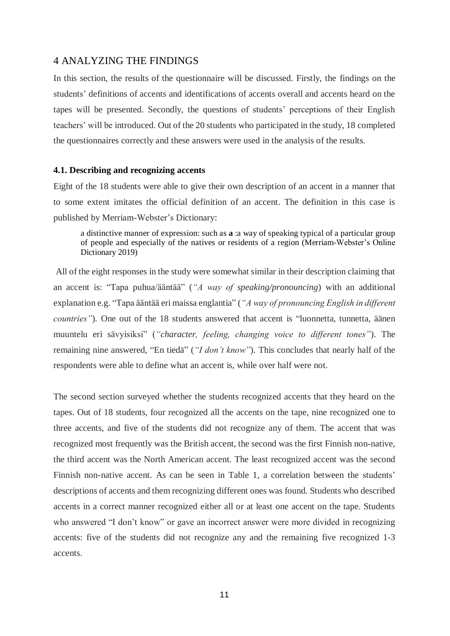## <span id="page-11-0"></span>4 ANALYZING THE FINDINGS

In this section, the results of the questionnaire will be discussed. Firstly, the findings on the students' definitions of accents and identifications of accents overall and accents heard on the tapes will be presented. Secondly, the questions of students' perceptions of their English teachers' will be introduced. Out of the 20 students who participated in the study, 18 completed the questionnaires correctly and these answers were used in the analysis of the results.

#### <span id="page-11-1"></span>**4.1. Describing and recognizing accents**

Eight of the 18 students were able to give their own description of an accent in a manner that to some extent imitates the official definition of an accent. The definition in this case is published by Merriam-Webster's Dictionary:

a distinctive manner of expression: such as **a** :a way of speaking typical of a particular group of people and especially of the natives or residents of a region (Merriam-Webster's Online Dictionary 2019)

All of the eight responses in the study were somewhat similar in their description claiming that an accent is: "Tapa puhua/ääntää" (*"A way of speaking/pronouncing*) with an additional explanation e.g. "Tapa ääntää eri maissa englantia" (*"A way of pronouncing English in different countries"*)*.* One out of the 18 students answered that accent is "luonnetta, tunnetta, äänen muuntelu eri sävyisiksi" (*"character, feeling, changing voice to different tones"*). The remaining nine answered, "En tiedä" (*"I don't know"*). This concludes that nearly half of the respondents were able to define what an accent is, while over half were not.

The second section surveyed whether the students recognized accents that they heard on the tapes. Out of 18 students, four recognized all the accents on the tape, nine recognized one to three accents, and five of the students did not recognize any of them. The accent that was recognized most frequently was the British accent, the second was the first Finnish non-native, the third accent was the North American accent. The least recognized accent was the second Finnish non-native accent. As can be seen in Table 1, a correlation between the students' descriptions of accents and them recognizing different ones was found. Students who described accents in a correct manner recognized either all or at least one accent on the tape. Students who answered "I don't know" or gave an incorrect answer were more divided in recognizing accents: five of the students did not recognize any and the remaining five recognized 1-3 accents.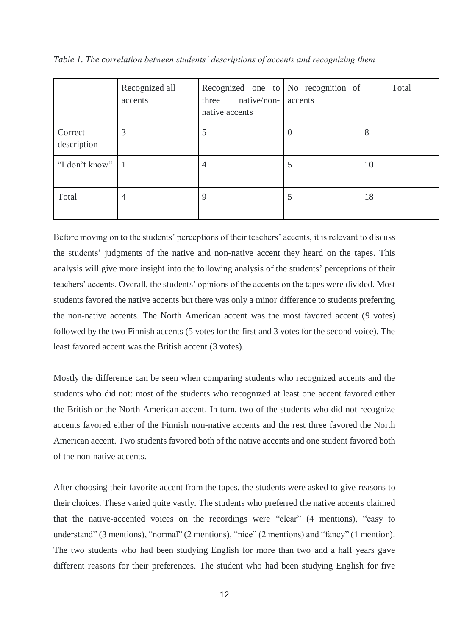*Table 1. The correlation between students' descriptions of accents and recognizing them*

|                        | Recognized all<br>accents | Recognized one to No recognition of<br>native/non-cacents<br>three<br>native accents |          | Total |
|------------------------|---------------------------|--------------------------------------------------------------------------------------|----------|-------|
| Correct<br>description | 3                         | 5                                                                                    | $\theta$ |       |
| "I don't know"   1     |                           | 4                                                                                    | 5        | 10    |
| Total                  | 4                         | 9                                                                                    | 5        | 18    |

Before moving on to the students' perceptions of their teachers' accents, it is relevant to discuss the students' judgments of the native and non-native accent they heard on the tapes. This analysis will give more insight into the following analysis of the students' perceptions of their teachers' accents. Overall, the students' opinions of the accents on the tapes were divided. Most students favored the native accents but there was only a minor difference to students preferring the non-native accents. The North American accent was the most favored accent (9 votes) followed by the two Finnish accents (5 votes for the first and 3 votes for the second voice). The least favored accent was the British accent (3 votes).

Mostly the difference can be seen when comparing students who recognized accents and the students who did not: most of the students who recognized at least one accent favored either the British or the North American accent. In turn, two of the students who did not recognize accents favored either of the Finnish non-native accents and the rest three favored the North American accent. Two students favored both of the native accents and one student favored both of the non-native accents.

After choosing their favorite accent from the tapes, the students were asked to give reasons to their choices. These varied quite vastly. The students who preferred the native accents claimed that the native-accented voices on the recordings were "clear" (4 mentions), "easy to understand" (3 mentions), "normal" (2 mentions), "nice" (2 mentions) and "fancy" (1 mention). The two students who had been studying English for more than two and a half years gave different reasons for their preferences. The student who had been studying English for five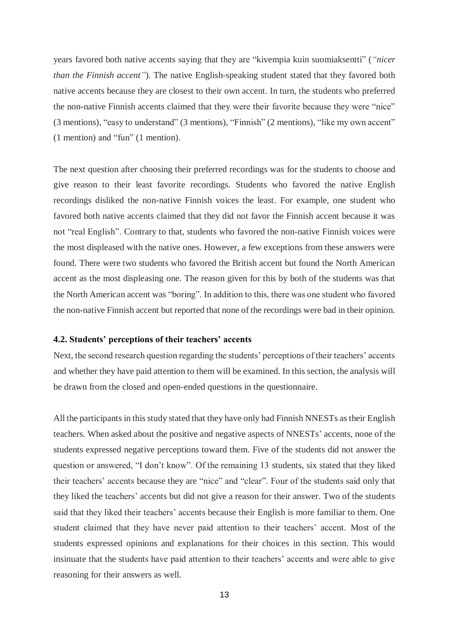years favored both native accents saying that they are "kivempia kuin suomiaksentti" (*"nicer than the Finnish accent"*). The native English-speaking student stated that they favored both native accents because they are closest to their own accent. In turn, the students who preferred the non-native Finnish accents claimed that they were their favorite because they were "nice" (3 mentions), "easy to understand" (3 mentions), "Finnish" (2 mentions), "like my own accent" (1 mention) and "fun" (1 mention).

The next question after choosing their preferred recordings was for the students to choose and give reason to their least favorite recordings. Students who favored the native English recordings disliked the non-native Finnish voices the least. For example, one student who favored both native accents claimed that they did not favor the Finnish accent because it was not "real English". Contrary to that, students who favored the non-native Finnish voices were the most displeased with the native ones. However, a few exceptions from these answers were found. There were two students who favored the British accent but found the North American accent as the most displeasing one. The reason given for this by both of the students was that the North American accent was "boring". In addition to this, there was one student who favored the non-native Finnish accent but reported that none of the recordings were bad in their opinion.

### <span id="page-13-0"></span>**4.2. Students' perceptions of their teachers' accents**

Next, the second research question regarding the students' perceptions of their teachers' accents and whether they have paid attention to them will be examined. In this section, the analysis will be drawn from the closed and open-ended questions in the questionnaire.

All the participants in this study stated that they have only had Finnish NNESTs as their English teachers. When asked about the positive and negative aspects of NNESTs' accents, none of the students expressed negative perceptions toward them. Five of the students did not answer the question or answered, "I don't know". Of the remaining 13 students, six stated that they liked their teachers' accents because they are "nice" and "clear". Four of the students said only that they liked the teachers' accents but did not give a reason for their answer. Two of the students said that they liked their teachers' accents because their English is more familiar to them. One student claimed that they have never paid attention to their teachers' accent. Most of the students expressed opinions and explanations for their choices in this section. This would insinuate that the students have paid attention to their teachers' accents and were able to give reasoning for their answers as well.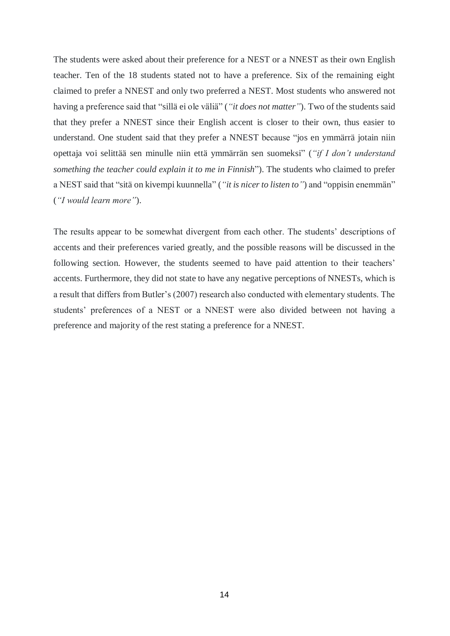The students were asked about their preference for a NEST or a NNEST as their own English teacher. Ten of the 18 students stated not to have a preference. Six of the remaining eight claimed to prefer a NNEST and only two preferred a NEST. Most students who answered not having a preference said that "sillä ei ole väliä" (*"it does not matter"*). Two of the students said that they prefer a NNEST since their English accent is closer to their own, thus easier to understand. One student said that they prefer a NNEST because "jos en ymmärrä jotain niin opettaja voi selittää sen minulle niin että ymmärrän sen suomeksi" (*"if I don't understand something the teacher could explain it to me in Finnish*"). The students who claimed to prefer a NEST said that "sitä on kivempi kuunnella" (*"it is nicer to listen to"*) and "oppisin enemmän" (*"I would learn more"*).

The results appear to be somewhat divergent from each other. The students' descriptions of accents and their preferences varied greatly, and the possible reasons will be discussed in the following section. However, the students seemed to have paid attention to their teachers' accents. Furthermore, they did not state to have any negative perceptions of NNESTs, which is a result that differs from Butler's (2007) research also conducted with elementary students. The students' preferences of a NEST or a NNEST were also divided between not having a preference and majority of the rest stating a preference for a NNEST.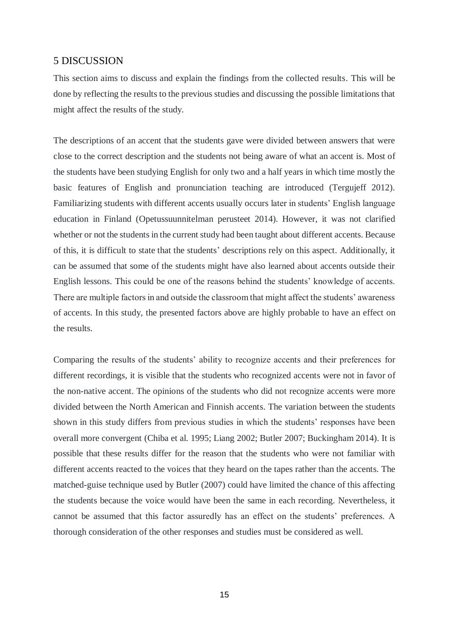## <span id="page-15-0"></span>5 DISCUSSION

This section aims to discuss and explain the findings from the collected results. This will be done by reflecting the results to the previous studies and discussing the possible limitations that might affect the results of the study.

The descriptions of an accent that the students gave were divided between answers that were close to the correct description and the students not being aware of what an accent is. Most of the students have been studying English for only two and a half years in which time mostly the basic features of English and pronunciation teaching are introduced (Tergujeff 2012). Familiarizing students with different accents usually occurs later in students' English language education in Finland (Opetussuunnitelman perusteet 2014). However, it was not clarified whether or not the students in the current study had been taught about different accents. Because of this, it is difficult to state that the students' descriptions rely on this aspect. Additionally, it can be assumed that some of the students might have also learned about accents outside their English lessons. This could be one of the reasons behind the students' knowledge of accents. There are multiple factors in and outside the classroom that might affect the students' awareness of accents. In this study, the presented factors above are highly probable to have an effect on the results.

Comparing the results of the students' ability to recognize accents and their preferences for different recordings, it is visible that the students who recognized accents were not in favor of the non-native accent. The opinions of the students who did not recognize accents were more divided between the North American and Finnish accents. The variation between the students shown in this study differs from previous studies in which the students' responses have been overall more convergent (Chiba et al. 1995; Liang 2002; Butler 2007; Buckingham 2014). It is possible that these results differ for the reason that the students who were not familiar with different accents reacted to the voices that they heard on the tapes rather than the accents. The matched-guise technique used by Butler (2007) could have limited the chance of this affecting the students because the voice would have been the same in each recording. Nevertheless, it cannot be assumed that this factor assuredly has an effect on the students' preferences. A thorough consideration of the other responses and studies must be considered as well.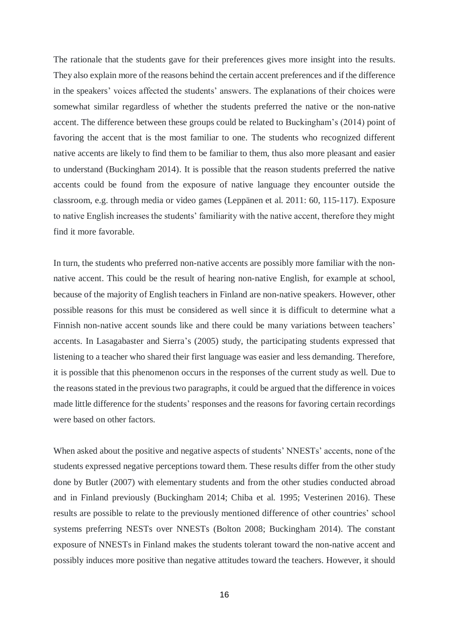The rationale that the students gave for their preferences gives more insight into the results. They also explain more of the reasons behind the certain accent preferences and if the difference in the speakers' voices affected the students' answers. The explanations of their choices were somewhat similar regardless of whether the students preferred the native or the non-native accent. The difference between these groups could be related to Buckingham's (2014) point of favoring the accent that is the most familiar to one. The students who recognized different native accents are likely to find them to be familiar to them, thus also more pleasant and easier to understand (Buckingham 2014). It is possible that the reason students preferred the native accents could be found from the exposure of native language they encounter outside the classroom, e.g. through media or video games (Leppänen et al. 2011: 60, 115-117). Exposure to native English increases the students' familiarity with the native accent, therefore they might find it more favorable.

In turn, the students who preferred non-native accents are possibly more familiar with the nonnative accent. This could be the result of hearing non-native English, for example at school, because of the majority of English teachers in Finland are non-native speakers. However, other possible reasons for this must be considered as well since it is difficult to determine what a Finnish non-native accent sounds like and there could be many variations between teachers' accents. In Lasagabaster and Sierra's (2005) study, the participating students expressed that listening to a teacher who shared their first language was easier and less demanding. Therefore, it is possible that this phenomenon occurs in the responses of the current study as well. Due to the reasons stated in the previous two paragraphs, it could be argued that the difference in voices made little difference for the students' responses and the reasons for favoring certain recordings were based on other factors.

When asked about the positive and negative aspects of students' NNESTs' accents, none of the students expressed negative perceptions toward them. These results differ from the other study done by Butler (2007) with elementary students and from the other studies conducted abroad and in Finland previously (Buckingham 2014; Chiba et al. 1995; Vesterinen 2016). These results are possible to relate to the previously mentioned difference of other countries' school systems preferring NESTs over NNESTs (Bolton 2008; Buckingham 2014). The constant exposure of NNESTs in Finland makes the students tolerant toward the non-native accent and possibly induces more positive than negative attitudes toward the teachers. However, it should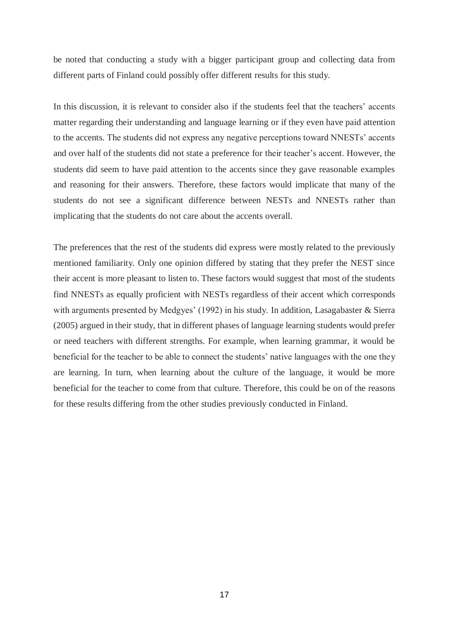be noted that conducting a study with a bigger participant group and collecting data from different parts of Finland could possibly offer different results for this study.

In this discussion, it is relevant to consider also if the students feel that the teachers' accents matter regarding their understanding and language learning or if they even have paid attention to the accents. The students did not express any negative perceptions toward NNESTs' accents and over half of the students did not state a preference for their teacher's accent. However, the students did seem to have paid attention to the accents since they gave reasonable examples and reasoning for their answers. Therefore, these factors would implicate that many of the students do not see a significant difference between NESTs and NNESTs rather than implicating that the students do not care about the accents overall.

The preferences that the rest of the students did express were mostly related to the previously mentioned familiarity. Only one opinion differed by stating that they prefer the NEST since their accent is more pleasant to listen to. These factors would suggest that most of the students find NNESTs as equally proficient with NESTs regardless of their accent which corresponds with arguments presented by Medgyes' (1992) in his study. In addition, Lasagabaster & Sierra (2005) argued in their study, that in different phases of language learning students would prefer or need teachers with different strengths. For example, when learning grammar, it would be beneficial for the teacher to be able to connect the students' native languages with the one they are learning. In turn, when learning about the culture of the language, it would be more beneficial for the teacher to come from that culture. Therefore, this could be on of the reasons for these results differing from the other studies previously conducted in Finland.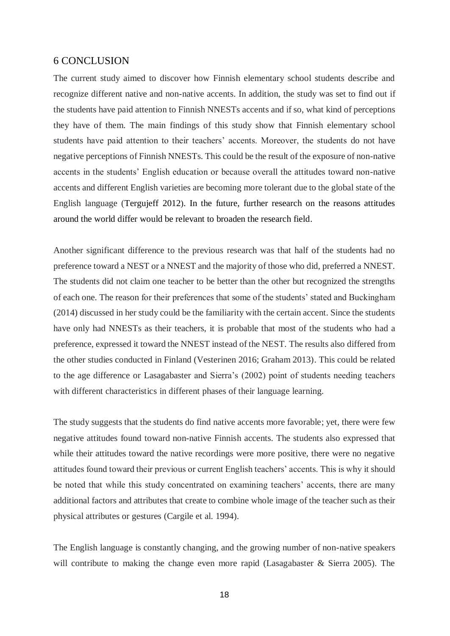## <span id="page-18-0"></span>6 CONCLUSION

The current study aimed to discover how Finnish elementary school students describe and recognize different native and non-native accents. In addition, the study was set to find out if the students have paid attention to Finnish NNESTs accents and if so, what kind of perceptions they have of them. The main findings of this study show that Finnish elementary school students have paid attention to their teachers' accents. Moreover, the students do not have negative perceptions of Finnish NNESTs. This could be the result of the exposure of non-native accents in the students' English education or because overall the attitudes toward non-native accents and different English varieties are becoming more tolerant due to the global state of the English language (Tergujeff 2012). In the future, further research on the reasons attitudes around the world differ would be relevant to broaden the research field.

Another significant difference to the previous research was that half of the students had no preference toward a NEST or a NNEST and the majority of those who did, preferred a NNEST. The students did not claim one teacher to be better than the other but recognized the strengths of each one. The reason for their preferences that some of the students' stated and Buckingham (2014) discussed in her study could be the familiarity with the certain accent. Since the students have only had NNESTs as their teachers, it is probable that most of the students who had a preference, expressed it toward the NNEST instead of the NEST. The results also differed from the other studies conducted in Finland (Vesterinen 2016; Graham 2013). This could be related to the age difference or Lasagabaster and Sierra's (2002) point of students needing teachers with different characteristics in different phases of their language learning.

The study suggests that the students do find native accents more favorable; yet, there were few negative attitudes found toward non-native Finnish accents. The students also expressed that while their attitudes toward the native recordings were more positive, there were no negative attitudes found toward their previous or current English teachers' accents. This is why it should be noted that while this study concentrated on examining teachers' accents, there are many additional factors and attributes that create to combine whole image of the teacher such as their physical attributes or gestures (Cargile et al. 1994).

The English language is constantly changing, and the growing number of non-native speakers will contribute to making the change even more rapid (Lasagabaster & Sierra 2005). The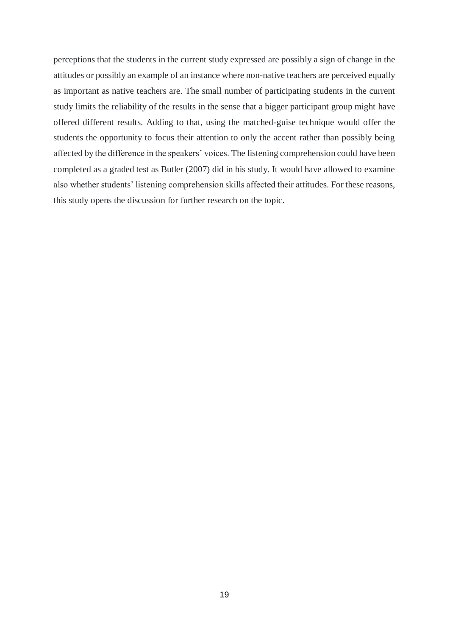perceptions that the students in the current study expressed are possibly a sign of change in the attitudes or possibly an example of an instance where non-native teachers are perceived equally as important as native teachers are. The small number of participating students in the current study limits the reliability of the results in the sense that a bigger participant group might have offered different results. Adding to that, using the matched-guise technique would offer the students the opportunity to focus their attention to only the accent rather than possibly being affected by the difference in the speakers' voices. The listening comprehension could have been completed as a graded test as Butler (2007) did in his study. It would have allowed to examine also whether students' listening comprehension skills affected their attitudes. For these reasons, this study opens the discussion for further research on the topic.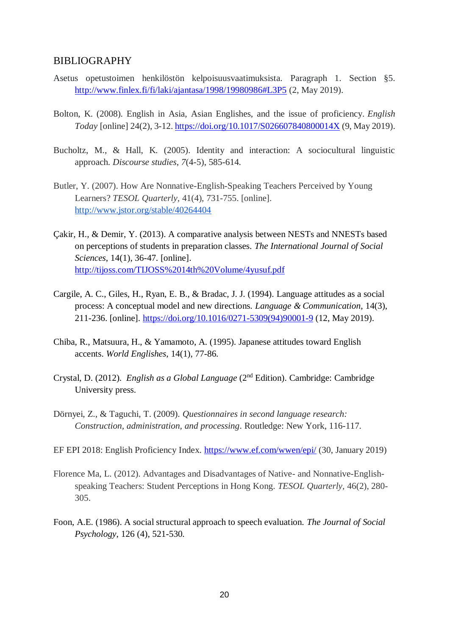## <span id="page-20-0"></span>BIBLIOGRAPHY

- Asetus opetustoimen henkilöstön kelpoisuusvaatimuksista. Paragraph 1. Section §5. <http://www.finlex.fi/fi/laki/ajantasa/1998/19980986#L3P5> (2, May 2019).
- Bolton, K. (2008). English in Asia, Asian Englishes, and the issue of proficiency. *English Today* [online] 24(2), 3-12. <https://doi.org/10.1017/S026607840800014X> (9, May 2019).
- Bucholtz, M., & Hall, K. (2005). Identity and interaction: A sociocultural linguistic approach. *Discourse studies*, *7*(4-5), 585-614.
- Butler, Y. (2007). How Are Nonnative-English-Speaking Teachers Perceived by Young Learners? *TESOL Quarterly,* 41(4), 731-755. [online]. <http://www.jstor.org/stable/40264404>
- Çakir, H., & Demir, Y. (2013). A comparative analysis between NESTs and NNESTs based on perceptions of students in preparation classes. *The International Journal of Social Sciences*, 14(1), 36-47. [online]. <http://tijoss.com/TIJOSS%2014th%20Volume/4yusuf.pdf>
- Cargile, A. C., Giles, H., Ryan, E. B., & Bradac, J. J. (1994). Language attitudes as a social process: A conceptual model and new directions. *Language & Communication*, 14(3), 211-236. [online]. [https://doi.org/10.1016/0271-5309\(94\)90001-9](https://doi.org/10.1016/0271-5309(94)90001-9) (12, May 2019).
- Chiba, R., Matsuura, H., & Yamamoto, A. (1995). Japanese attitudes toward English accents. *World Englishes*, 14(1), 77-86.
- Crystal, D. (2012). *English as a Global Language* (2nd Edition). Cambridge: Cambridge University press.
- Dörnyei, Z., & Taguchi, T. (2009). *Questionnaires in second language research: Construction, administration, and processing*. Routledge: New York, 116-117.
- EF EPI 2018: English Proficiency Index.<https://www.ef.com/wwen/epi/> (30, January 2019)
- Florence Ma, L. (2012). Advantages and Disadvantages of Native- and Nonnative-Englishspeaking Teachers: Student Perceptions in Hong Kong. *TESOL Quarterly,* 46(2), 280- 305.
- Foon, A.E. (1986). A social structural approach to speech evaluation. *The Journal of Social Psychology*, 126 (4), 521-530.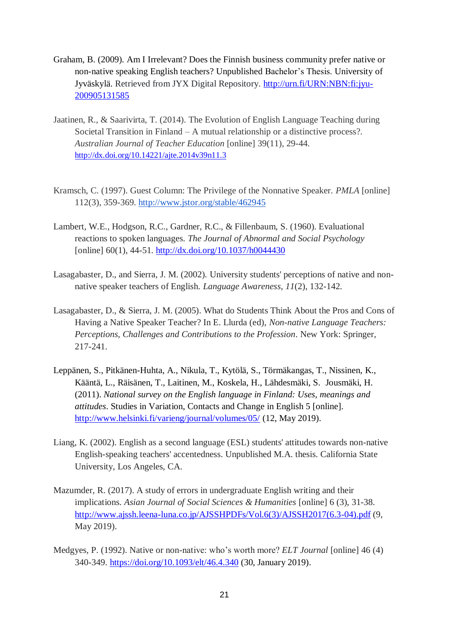- Graham, B. (2009). Am I Irrelevant? Does the Finnish business community prefer native or non-native speaking English teachers? Unpublished Bachelor's Thesis. University of Jyväskylä. Retrieved from JYX Digital Repository. [http://urn.fi/URN:NBN:fi:jyu-](http://urn.fi/URN:NBN:fi:jyu-200905131585)[200905131585](http://urn.fi/URN:NBN:fi:jyu-200905131585)
- Jaatinen, R., & Saarivirta, T. (2014). The Evolution of English Language Teaching during Societal Transition in Finland – A mutual relationship or a distinctive process?. *Australian Journal of Teacher Education* [online] 39(11), 29-44. <http://dx.doi.org/10.14221/ajte.2014v39n11.3>
- Kramsch, C. (1997). Guest Column: The Privilege of the Nonnative Speaker. *PMLA* [online] 112(3), 359-369. <http://www.jstor.org/stable/462945>
- Lambert, W.E., Hodgson, R.C., Gardner, R.C., & Fillenbaum, S. (1960). Evaluational reactions to spoken languages. *The Journal of Abnormal and Social Psychology* [online] 60(1), 44-51.<http://dx.doi.org/10.1037/h0044430>
- Lasagabaster, D., and Sierra, J. M. (2002). University students' perceptions of native and nonnative speaker teachers of English. *Language Awareness*, *11*(2), 132-142.
- Lasagabaster, D., & Sierra, J. M. (2005). What do Students Think About the Pros and Cons of Having a Native Speaker Teacher? In E. Llurda (ed), *Non-native Language Teachers: Perceptions, Challenges and Contributions to the Profession*. New York: Springer, 217-241.
- Leppänen, S., Pitkänen-Huhta, A., Nikula, T., Kytölä, S., Törmäkangas, T., Nissinen, K., Kääntä, L., Räisänen, T., Laitinen, M., Koskela, H., Lähdesmäki, S. Jousmäki, H. (2011). *National survey on the English language in Finland: Uses, meanings and attitudes*. Studies in Variation, Contacts and Change in English 5 [online]. <http://www.helsinki.fi/varieng/journal/volumes/05/> (12, May 2019).
- Liang, K. (2002). English as a second language (ESL) students' attitudes towards non-native English-speaking teachers' accentedness. Unpublished M.A. thesis. California State University, Los Angeles, CA.
- Mazumder, R. (2017). A study of errors in undergraduate English writing and their implications. *Asian Journal of Social Sciences & Humanities* [online] 6 (3), 31-38. [http://www.ajssh.leena-luna.co.jp/AJSSHPDFs/Vol.6\(3\)/AJSSH2017\(6.3-04\).pdf](http://www.ajssh.leena-luna.co.jp/AJSSHPDFs/Vol.6(3)/AJSSH2017(6.3-04).pdf) (9, May 2019).
- Medgyes, P. (1992). Native or non-native: who's worth more? *ELT Journal* [online] 46 (4) 340-349. [https://doi.org/10.1093/elt/46.4.340](https://doi.org/10.1093/elt/46.4.340%20(30) (30, January 2019).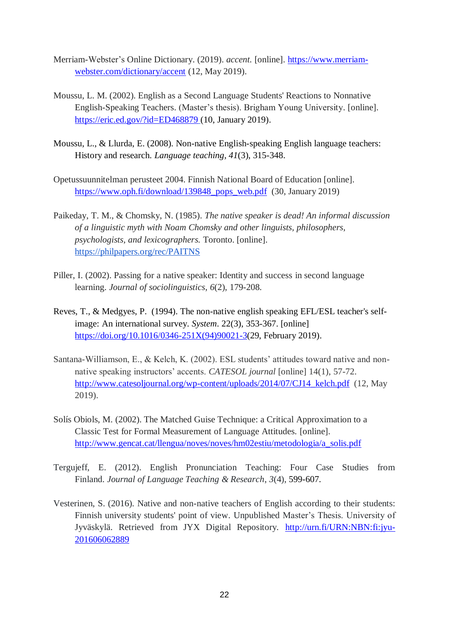- Merriam-Webster's Online Dictionary. (2019). *accent.* [online]. [https://www.merriam](https://www.merriam-webster.com/dictionary/accent)[webster.com/dictionary/accent](https://www.merriam-webster.com/dictionary/accent) (12, May 2019).
- Moussu, L. M. (2002). English as a Second Language Students' Reactions to Nonnative English-Speaking Teachers. (Master's thesis). Brigham Young University. [online]. <https://eric.ed.gov/?id=ED468879> (10, January 2019).
- Moussu, L., & Llurda, E. (2008). Non-native English-speaking English language teachers: History and research. *Language teaching*, *41*(3), 315-348.
- Opetussuunnitelman perusteet 2004. Finnish National Board of Education [online]. [https://www.oph.fi/download/139848\\_pops\\_web.pdf](https://www.oph.fi/download/139848_pops_web.pdf) (30, January 2019)
- Paikeday, T. M., & Chomsky, N. (1985). *The native speaker is dead! An informal discussion of a linguistic myth with Noam Chomsky and other linguists, philosophers, psychologists, and lexicographers.* Toronto. [online]. <https://philpapers.org/rec/PAITNS>
- Piller, I. (2002). Passing for a native speaker: Identity and success in second language learning. *Journal of sociolinguistics*, *6*(2), 179-208.
- Reves, T., & Medgyes, P. (1994). The non-native english speaking EFL/ESL teacher's selfimage: An international survey. *System*. 22(3), 353-367. [online] [https://doi.org/10.1016/0346-251X\(94\)90021-3\(](https://doi.org/10.1016/0346-251X(94)90021-3)29, February 2019).
- Santana-Williamson, E., & Kelch, K. (2002). ESL students' attitudes toward native and nonnative speaking instructors' accents. *CATESOL journal* [online] 14(1), 57-72. [http://www.catesoljournal.org/wp-content/uploads/2014/07/CJ14\\_kelch.pdf](http://www.catesoljournal.org/wp-content/uploads/2014/07/CJ14_kelch.pdf) (12, May 2019).
- Solís Obiols, M. (2002). The Matched Guise Technique: a Critical Approximation to a Classic Test for Formal Measurement of Language Attitudes. [online]. [http://www.gencat.cat/llengua/noves/noves/hm02estiu/metodologia/a\\_solis.pdf](http://www.gencat.cat/llengua/noves/noves/hm02estiu/metodologia/a_solis.pdf)
- Tergujeff, E. (2012). English Pronunciation Teaching: Four Case Studies from Finland. *Journal of Language Teaching & Research*, *3*(4), 599-607.
- Vesterinen, S. (2016). Native and non-native teachers of English according to their students: Finnish university students' point of view. Unpublished Master's Thesis. University of Jyväskylä. Retrieved from JYX Digital Repository. [http://urn.fi/URN:NBN:fi:jyu-](http://urn.fi/URN:NBN:fi:jyu-201606062889)[201606062889](http://urn.fi/URN:NBN:fi:jyu-201606062889)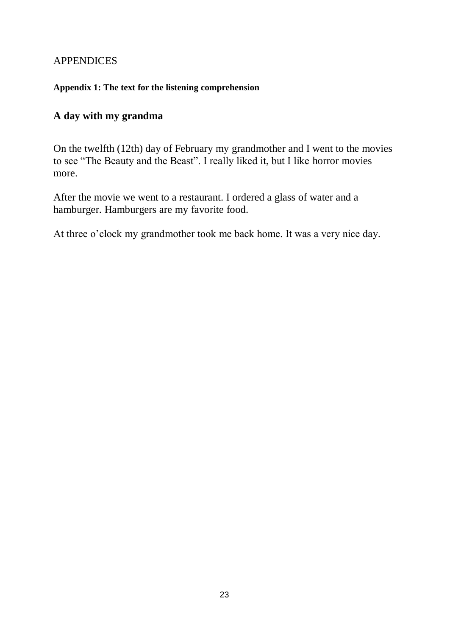## <span id="page-23-0"></span>APPENDICES

## <span id="page-23-1"></span>**Appendix 1: The text for the listening comprehension**

## **A day with my grandma**

On the twelfth (12th) day of February my grandmother and I went to the movies to see "The Beauty and the Beast". I really liked it, but I like horror movies more.

After the movie we went to a restaurant. I ordered a glass of water and a hamburger. Hamburgers are my favorite food.

At three o'clock my grandmother took me back home. It was a very nice day.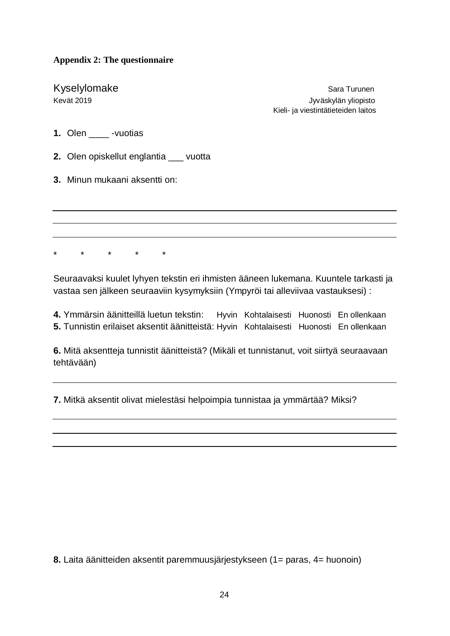## <span id="page-24-0"></span>**Appendix 2: The questionnaire**

Kyselylomake Sara Turunen Kevät 2019 Jyväskylän yliopisto Kieli- ja viestintätieteiden laitos

- **1.** Olen \_\_\_\_ -vuotias
- **2.** Olen opiskellut englantia \_\_\_ vuotta
- **3.** Minun mukaani aksentti on:

\* \* \* \* \*

Seuraavaksi kuulet lyhyen tekstin eri ihmisten ääneen lukemana. Kuuntele tarkasti ja vastaa sen jälkeen seuraaviin kysymyksiin (Ympyröi tai alleviivaa vastauksesi) :

**4.** Ymmärsin äänitteillä luetun tekstin: Hyvin Kohtalaisesti Huonosti En ollenkaan **5.** Tunnistin erilaiset aksentit äänitteistä: Hyvin Kohtalaisesti Huonosti En ollenkaan

**6.** Mitä aksentteja tunnistit äänitteistä? (Mikäli et tunnistanut, voit siirtyä seuraavaan tehtävään)

**7.** Mitkä aksentit olivat mielestäsi helpoimpia tunnistaa ja ymmärtää? Miksi?

**8.** Laita äänitteiden aksentit paremmuusjärjestykseen (1= paras, 4= huonoin)